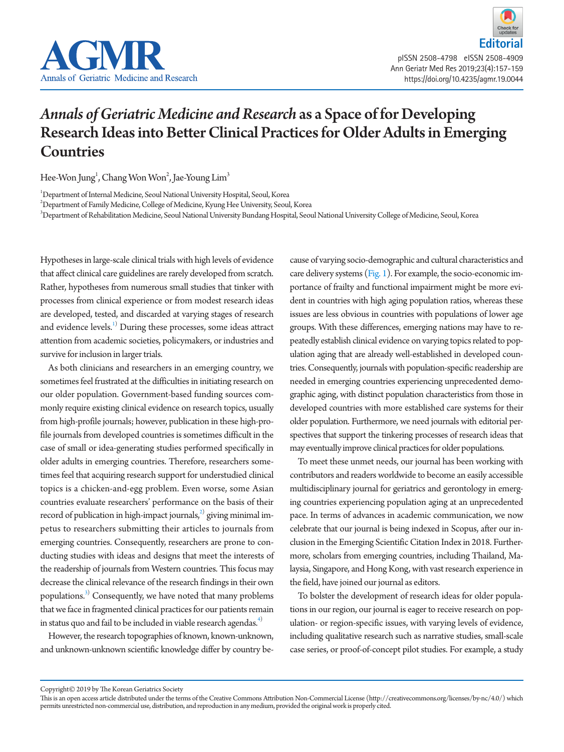

## *Annals of Geriatric Medicine and Research* as a Space of for Developing Research Ideas into Better Clinical Practices for Older Adults in Emerging **Countries**

Hee-Won Jung $^{\rm l}$ , Chang Won Won $^{\rm 2}$ , Jae-Young Lim $^{\rm 3}$ 

1 Department of Internal Medicine, Seoul National University Hospital, Seoul, Korea

 $^{2}$ Department of Family Medicine, College of Medicine, Kyung Hee University, Seoul, Korea

3 Department of Rehabilitation Medicine, Seoul National University Bundang Hospital, Seoul National University College of Medicine, Seoul, Korea

Hypotheses in large-scale clinical trials with high levels of evidence that affect clinical care guidelines are rarely developed from scratch. Rather, hypotheses from numerous small studies that tinker with processes from clinical experience or from modest research ideas are developed, tested, and discarded at varying stages of research and evidence levels.<sup>[1\)](#page-1-0)</sup> During these processes, some ideas attract attention from academic societies, policymakers, or industries and survive for inclusion in larger trials.

As both clinicians and researchers in an emerging country, we sometimes feel frustrated at the difficulties in initiating research on our older population. Government-based funding sources commonly require existing clinical evidence on research topics, usually from high-profile journals; however, publication in these high-profile journals from developed countries is sometimes difficult in the case of small or idea-generating studies performed specifically in older adults in emerging countries. Therefore, researchers sometimes feel that acquiring research support for understudied clinical topics is a chicken-and-egg problem. Even worse, some Asian countries evaluate researchers' performance on the basis of their record of publication in high-impact journals, $^{2)}$  giving minimal impetus to researchers submitting their articles to journals from emerging countries. Consequently, researchers are prone to conducting studies with ideas and designs that meet the interests of the readership of journals from Western countries. This focus may decrease the clinical relevance of the research findings in their own populations.<sup>[3](#page-2-0))</sup> Consequently, we have noted that many problems that we face in fragmented clinical practices for our patients remain in status quo and fail to be included in viable research agendas.<sup>4)</sup>

However, the research topographies of known, known-unknown, and unknown-unknown scientific knowledge differ by country be-

cause of varying socio-demographic and cultural characteristics and care delivery systems  $(Fig. 1)$ . For example, the socio-economic importance of frailty and functional impairment might be more evident in countries with high aging population ratios, whereas these issues are less obvious in countries with populations of lower age groups. With these differences, emerging nations may have to repeatedly establish clinical evidence on varying topics related to population aging that are already well-established in developed countries. Consequently, journals with population-specific readership are needed in emerging countries experiencing unprecedented demographic aging, with distinct population characteristics from those in developed countries with more established care systems for their older population. Furthermore, we need journals with editorial perspectives that support the tinkering processes of research ideas that may eventually improve clinical practices for older populations.

To meet these unmet needs, our journal has been working with contributors and readers worldwide to become an easily accessible multidisciplinary journal for geriatrics and gerontology in emerging countries experiencing population aging at an unprecedented pace. In terms of advances in academic communication, we now celebrate that our journal is being indexed in Scopus, after our inclusion in the Emerging Scientific Citation Index in 2018. Furthermore, scholars from emerging countries, including Thailand, Malaysia, Singapore, and Hong Kong, with vast research experience in the field, have joined our journal as editors.

To bolster the development of research ideas for older populations in our region, our journal is eager to receive research on population- or region-specific issues, with varying levels of evidence, including qualitative research such as narrative studies, small-scale case series, or proof-of-concept pilot studies. For example, a study

Copyright© 2019 by The Korean Geriatrics Society

This is an open access article distributed under the terms of the Creative Commons Attribution Non-Commercial License (http://creativecommons.org/licenses/by-nc/4.0/) which permits unrestricted non-commercial use, distribution, and reproduction in any medium, provided the original work is properly cited.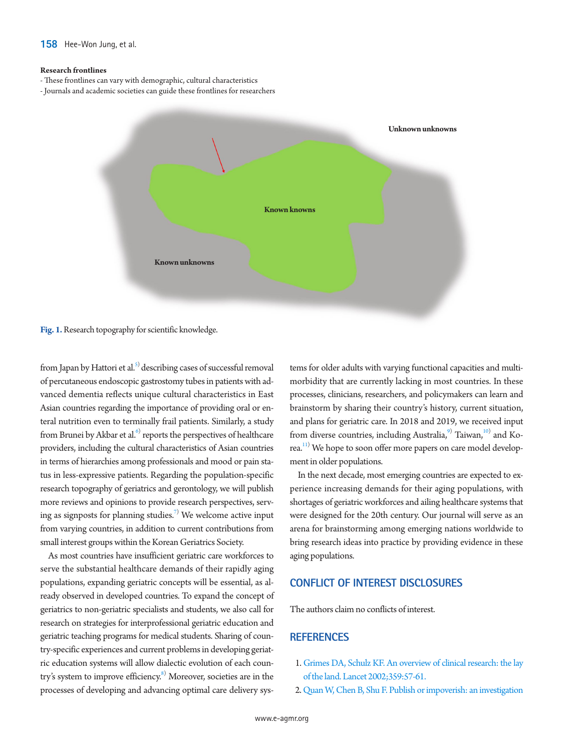## <span id="page-1-2"></span>**Research frontlines**

- These frontlines can vary with demographic, cultural characteristics
- Journals and academic societies can guide these frontlines for researchers



**Fig. 1.** Research topography for scientific knowledge.

from Japan by Hattori et al.<sup>[5](#page-2-2))</sup> describing cases of successful removal of percutaneous endoscopic gastrostomy tubes in patients with advanced dementia reflects unique cultural characteristics in East Asian countries regarding the importance of providing oral or enteral nutrition even to terminally frail patients. Similarly, a study from Brunei by Akbar et al.<sup>6)</sup> reports the perspectives of healthcare providers, including the cultural characteristics of Asian countries in terms of hierarchies among professionals and mood or pain status in less-expressive patients. Regarding the population-specific research topography of geriatrics and gerontology, we will publish more reviews and opinions to provide research perspectives, serv-ing as signposts for planning studies.<sup>[7\)](#page-2-4)</sup> We welcome active input from varying countries, in addition to current contributions from small interest groups within the Korean Geriatrics Society.

As most countries have insufficient geriatric care workforces to serve the substantial healthcare demands of their rapidly aging populations, expanding geriatric concepts will be essential, as already observed in developed countries. To expand the concept of geriatrics to non-geriatric specialists and students, we also call for research on strategies for interprofessional geriatric education and geriatric teaching programs for medical students. Sharing of country-specific experiences and current problems in developing geriatric education systems will allow dialectic evolution of each country's system to improve efficiency.<sup>8)</sup> Moreover, societies are in the processes of developing and advancing optimal care delivery sys-

tems for older adults with varying functional capacities and multimorbidity that are currently lacking in most countries. In these processes, clinicians, researchers, and policymakers can learn and brainstorm by sharing their country's history, current situation, and plans for geriatric care. In 2018 and 2019, we received input from diverse countries, including Australia,<sup>9)</sup> Taiwan,<sup>10)</sup> and Korea.<sup>11)</sup> We hope to soon offer more papers on care model development in older populations.

In the next decade, most emerging countries are expected to experience increasing demands for their aging populations, with shortages of geriatric workforces and ailing healthcare systems that were designed for the 20th century. Our journal will serve as an arena for brainstorming among emerging nations worldwide to bring research ideas into practice by providing evidence in these aging populations.

## **CONFLICT OF INTEREST DISCLOSURES**

The authors claim no conflicts of interest.

## **REFERENCES**

- <span id="page-1-0"></span>1. [Grimes DA, Schulz KF. An overview of clinical research: the lay](https://doi.org/10.1016/S0140-6736(02)07283-5)  [of the land. Lancet 2002;359:57-61.](https://doi.org/10.1016/S0140-6736(02)07283-5)
- <span id="page-1-1"></span>2. [Quan W, Chen B, Shu F. Publish or impoverish: an investigation](https://doi.org/10.1108/AJIM-01-2017-0014)